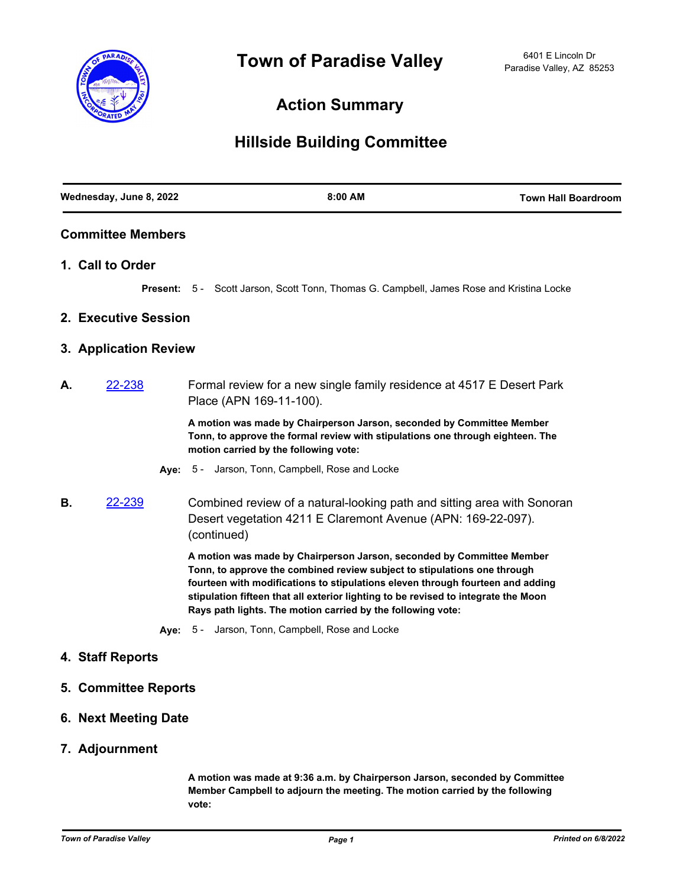

## **Action Summary**

## **Hillside Building Committee**

| Wednesday, June 8, 2022  |                             | 8:00 AM                                                                                                                                                                                                                                                                                                                                                                                  | <b>Town Hall Boardroom</b> |
|--------------------------|-----------------------------|------------------------------------------------------------------------------------------------------------------------------------------------------------------------------------------------------------------------------------------------------------------------------------------------------------------------------------------------------------------------------------------|----------------------------|
| <b>Committee Members</b> |                             |                                                                                                                                                                                                                                                                                                                                                                                          |                            |
|                          | 1. Call to Order            |                                                                                                                                                                                                                                                                                                                                                                                          |                            |
|                          |                             | Present: 5 - Scott Jarson, Scott Tonn, Thomas G. Campbell, James Rose and Kristina Locke                                                                                                                                                                                                                                                                                                 |                            |
|                          | 2. Executive Session        |                                                                                                                                                                                                                                                                                                                                                                                          |                            |
|                          | 3. Application Review       |                                                                                                                                                                                                                                                                                                                                                                                          |                            |
| А.                       | 22-238                      | Formal review for a new single family residence at 4517 E Desert Park<br>Place (APN 169-11-100).                                                                                                                                                                                                                                                                                         |                            |
|                          |                             | A motion was made by Chairperson Jarson, seconded by Committee Member<br>Tonn, to approve the formal review with stipulations one through eighteen. The<br>motion carried by the following vote:                                                                                                                                                                                         |                            |
|                          |                             | Aye: 5 - Jarson, Tonn, Campbell, Rose and Locke                                                                                                                                                                                                                                                                                                                                          |                            |
| В.                       | 22-239                      | Combined review of a natural-looking path and sitting area with Sonoran<br>Desert vegetation 4211 E Claremont Avenue (APN: 169-22-097).<br>(continued)                                                                                                                                                                                                                                   |                            |
|                          |                             | A motion was made by Chairperson Jarson, seconded by Committee Member<br>Tonn, to approve the combined review subject to stipulations one through<br>fourteen with modifications to stipulations eleven through fourteen and adding<br>stipulation fifteen that all exterior lighting to be revised to integrate the Moon<br>Rays path lights. The motion carried by the following vote: |                            |
|                          |                             | Aye: 5 - Jarson, Tonn, Campbell, Rose and Locke                                                                                                                                                                                                                                                                                                                                          |                            |
|                          | 4. Staff Reports            |                                                                                                                                                                                                                                                                                                                                                                                          |                            |
|                          | <b>5. Committee Reports</b> |                                                                                                                                                                                                                                                                                                                                                                                          |                            |

- **6. Next Meeting Date**
- **7. Adjournment**

**A motion was made at 9:36 a.m. by Chairperson Jarson, seconded by Committee Member Campbell to adjourn the meeting. The motion carried by the following vote:**